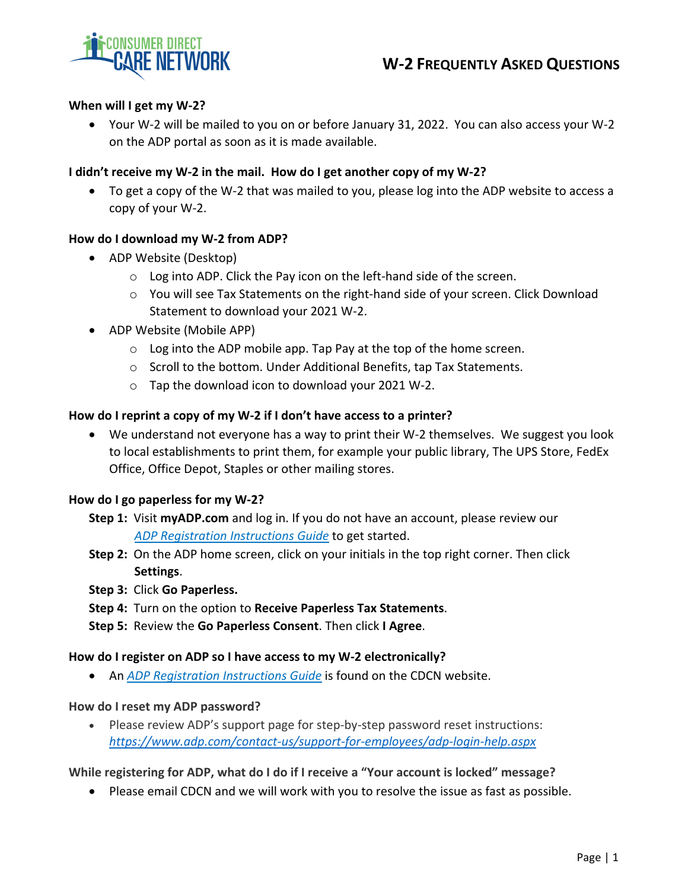

# **When will I get my W‐2?**

 Your W‐2 will be mailed to you on or before January 31, 2022. You can also access your W‐2 on the ADP portal as soon as it is made available.

### I didn't receive my W-2 in the mail. How do I get another copy of my W-2?

 To get a copy of the W‐2 that was mailed to you, please log into the ADP website to access a copy of your W‐2.

### **How do I download my W‐2 from ADP?**

- ADP Website (Desktop)
	- o Log into ADP. Click the Pay icon on the left‐hand side of the screen.
	- o You will see Tax Statements on the right‐hand side of your screen. Click Download Statement to download your 2021 W‐2.
- ADP Website (Mobile APP)
	- o Log into the ADP mobile app. Tap Pay at the top of the home screen.
	- o Scroll to the bottom. Under Additional Benefits, tap Tax Statements.
	- o Tap the download icon to download your 2021 W‐2.

### **How do I reprint a copy of my W‐2 if I don't have access to a printer?**

■ We understand not everyone has a way to print their W-2 themselves. We suggest you look to local establishments to print them, for example your public library, The UPS Store, FedEx Office, Office Depot, Staples or other mailing stores.

#### **How do I go paperless for my W‐2?**

- **Step 1:** Visit **myADP.com** and log in. If you do not have an account, please review our *ADP [Registration](https://consumerdirectcare.com/wp-content/uploads/2021/12/ADP-Registration-Instructions.pdf.) Instructions Guide* to get started.
- **Step 2:** On the ADP home screen, click on your initials in the top right corner. Then click **Settings**.
- **Step 3:** Click **Go Paperless.**
- **Step 4:** Turn on the option to **Receive Paperless Tax Statements**.
- **Step 5:** Review the **Go Paperless Consent**. Then click **I Agree**.

#### **How do I register on ADP so I have access to my W‐2 electronically?**

An *ADP [Registration](https://consumerdirectcare.com/wp-content/uploads/2021/12/ADP-Registration-Instructions.pdf.) Instructions Guide* is found on the CDCN website.

#### **How do I reset my ADP password?**

● Please review ADP's support page for step-by-step password reset instructions: *[https://www.adp.com/contact](https://www.adp.com/contact-us/support-for-employees/adp-login-help.aspx)‐us/support‐for‐employees/adp‐login‐help.aspx*

#### **While registering for ADP, what do I do if I receive a "Your account is locked" message?**

Please email CDCN and we will work with you to resolve the issue as fast as possible.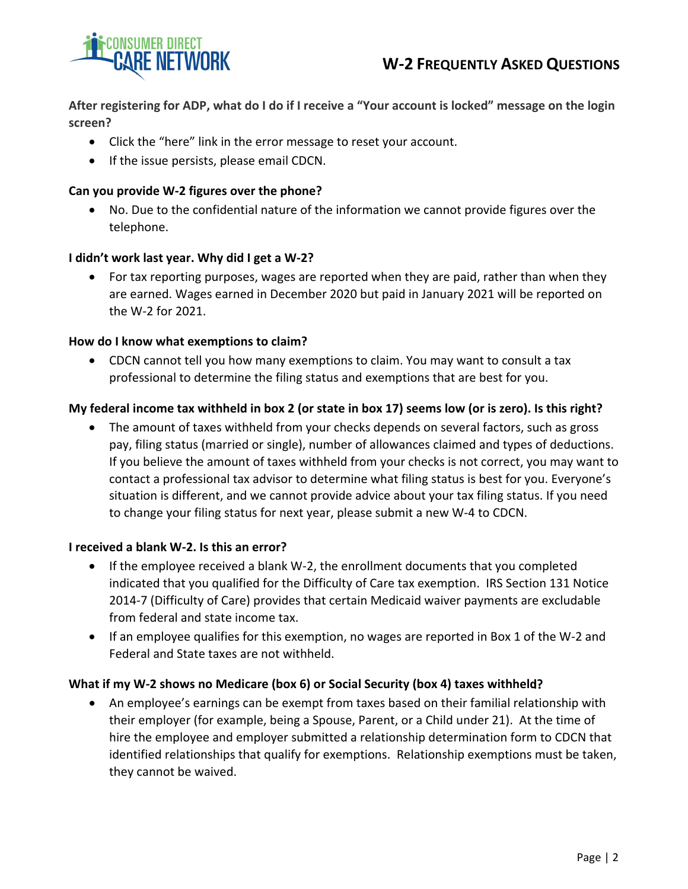

After registering for ADP, what do I do if I receive a "Your account is locked" message on the login **screen?**

- Click the "here" link in the error message to reset your account.
- If the issue persists, please email CDCN.

## **Can you provide W‐2 figures over the phone?**

 No. Due to the confidential nature of the information we cannot provide figures over the telephone.

### **I didn't work last year. Why did I get a W‐2?**

 For tax reporting purposes, wages are reported when they are paid, rather than when they are earned. Wages earned in December 2020 but paid in January 2021 will be reported on the W‐2 for 2021.

### **How do I know what exemptions to claim?**

 CDCN cannot tell you how many exemptions to claim. You may want to consult a tax professional to determine the filing status and exemptions that are best for you.

# My federal income tax withheld in box 2 (or state in box 17) seems low (or is zero). Is this right?

• The amount of taxes withheld from your checks depends on several factors, such as gross pay, filing status (married or single), number of allowances claimed and types of deductions. If you believe the amount of taxes withheld from your checks is not correct, you may want to contact a professional tax advisor to determine what filing status is best for you. Everyone's situation is different, and we cannot provide advice about your tax filing status. If you need to change your filing status for next year, please submit a new W‐4 to CDCN.

#### **I received a blank W‐2. Is this an error?**

- If the employee received a blank W-2, the enrollment documents that you completed indicated that you qualified for the Difficulty of Care tax exemption. IRS Section 131 Notice 2014‐7 (Difficulty of Care) provides that certain Medicaid waiver payments are excludable from federal and state income tax.
- If an employee qualifies for this exemption, no wages are reported in Box 1 of the W‐2 and Federal and State taxes are not withheld.

#### **What if my W‐2 shows no Medicare (box 6) or Social Security (box 4) taxes withheld?**

 An employee's earnings can be exempt from taxes based on their familial relationship with their employer (for example, being a Spouse, Parent, or a Child under 21). At the time of hire the employee and employer submitted a relationship determination form to CDCN that identified relationships that qualify for exemptions. Relationship exemptions must be taken, they cannot be waived.